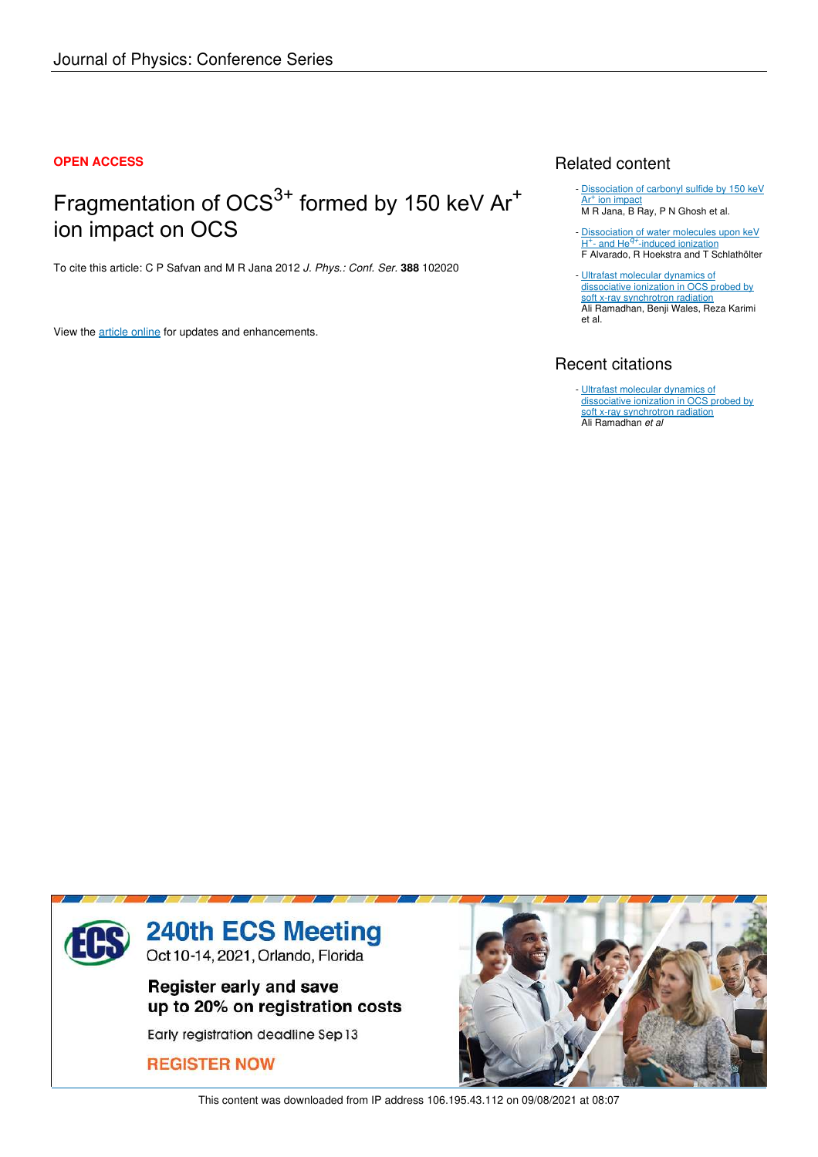#### **OPEN ACCESS**

# Fragmentation of OCS<sup>3+</sup> formed by 150 keV Ar<sup>+</sup> ion impact on OCS

To cite this article: C P Safvan and M R Jana 2012 *J. Phys.: Conf. Ser.* **388** 102020

View the article online for updates and enhancements.

### Related content

- Dissociation of carbonyl sulfide by 150 keV Ar<sup>+</sup> ion impact M R Jana, B Ray, P N Ghosh et al.
- Dissociation of water molecules upon keV H<sup>+</sup>- and He<sup>q+</sup>-induced ionization F Alvarado, R Hoekstra and T Schlathölter -
- Ultrafast molecular dynamics of dissociative ionization in OCS probed by soft x-ray synchrotron radiation Ali Ramadhan, Benji Wales, Reza Karimi et al.

## Recent citations

- Ultrafast molecular dynamics of dissociative ionization in OCS probed by soft x-ray synchrotron radiation Ali Ramadhan *et al*



This content was downloaded from IP address 106.195.43.112 on 09/08/2021 at 08:07